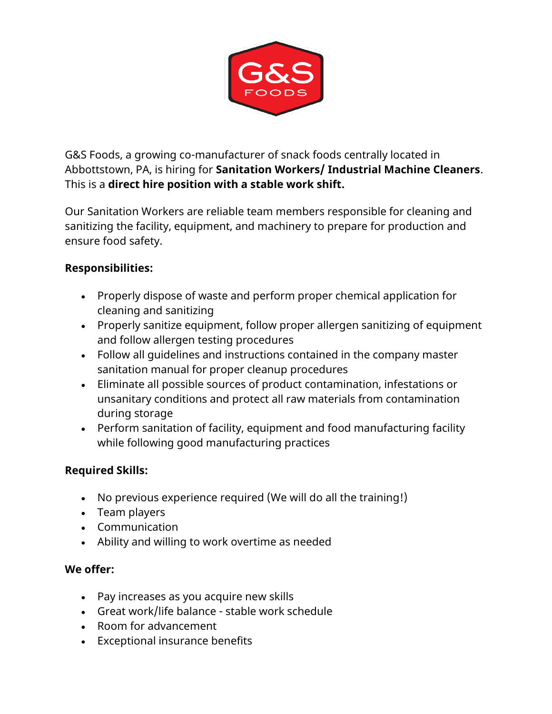

G&S Foods, a growing co-manufacturer of snack foods centrally located in Abbottstown, PA, is hiring for **Sanitation Workers/ Industrial Machine Cleaners**. This is a **direct hire position with a stable work shift.**

Our Sanitation Workers are reliable team members responsible for cleaning and sanitizing the facility, equipment, and machinery to prepare for production and ensure food safety.

## **Responsibilities:**

- Properly dispose of waste and perform proper chemical application for cleaning and sanitizing
- Properly sanitize equipment, follow proper allergen sanitizing of equipment and follow allergen testing procedures
- Follow all guidelines and instructions contained in the company master sanitation manual for proper cleanup procedures
- Eliminate all possible sources of product contamination, infestations or unsanitary conditions and protect all raw materials from contamination during storage
- Perform sanitation of facility, equipment and food manufacturing facility while following good manufacturing practices

## **Required Skills:**

- No previous experience required (We will do all the training!)
- Team players
- Communication
- Ability and willing to work overtime as needed

## **We offer:**

- Pay increases as you acquire new skills
- Great work/life balance stable work schedule
- Room for advancement
- Exceptional insurance benefits